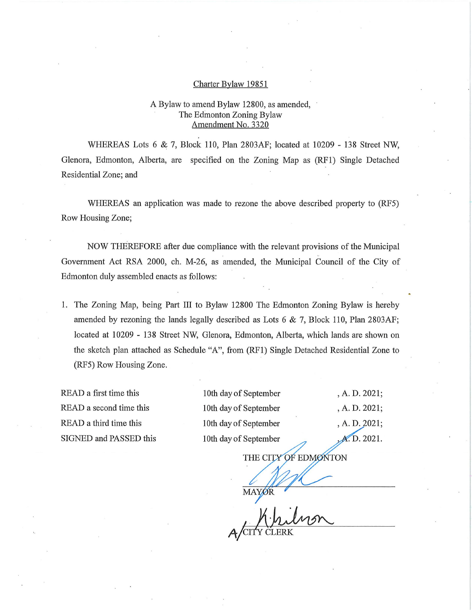## Charter Bylaw 19851

## A Bylaw to amend Bylaw 12800, as amended, The Edmonton Zoning Bylaw Amendment No. 3320

WHEREAS Lots 6 & 7, Block 110, Plan 2803AF; located at 10209 - 138 Street NW, Glenora, Edmonton, Alberta, are specified on the Zoning Map as (RF1) Single Detached Residential Zone; and

WHEREAS an application was made to rezone the above described property to (RF5) Row Housing Zone;

NOW THEREFORE after due compliance with the relevant provisions of the Municipal Government Act RSA 2000, ch. M-26, as amended, the Municipal Council of the City of Edmonton duly assembled enacts as follows:

1. The Zoning Map, being Part III to Bylaw 12800 The Edmonton Zoning Bylaw is hereby amended by rezoning the lands legally described as Lots  $6 \& 7$ , Block 110, Plan 2803AF; located at 10209 - 138 Street NW, Glenora, Edmonton, Alberta, which lands are shown on the sketch plan attached as Schedule "A", from (RF1) Single Detached Residential Zone to (RF5) Row Housing Zone.

READ a first time this READ a second time this READ a third time this SIGNED and PASSED this

10th day of September 10th day of September 10th day of September 10th day of September

, A. D. 2021; , A. D. 2021; , A. D.2021; **A.D.** 2021.

THE CITY OF EDMONTON

**MAYOR** 

,/CITY CLERK